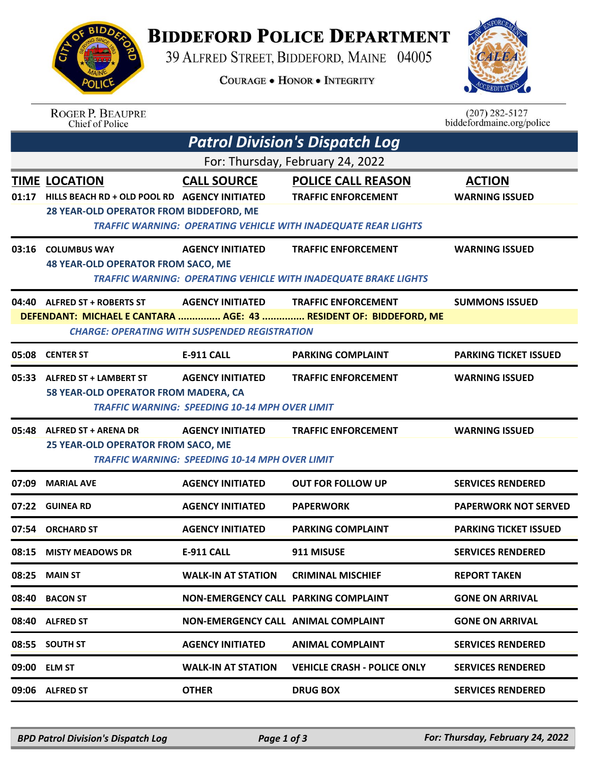## **BIDDEFORD POLICE DEPARTMENT**

39 ALFRED STREET, BIDDEFORD, MAINE 04005

**COURAGE . HONOR . INTEGRITY** 



 $(207)$  282-5127

## ROGER P. BEAUPRE<br>Chief of Police

|                                       | Chief of Police                                                                                                 |                                                                                  |                                                                                                                                  | biddefordmaine.org/police              |  |  |  |
|---------------------------------------|-----------------------------------------------------------------------------------------------------------------|----------------------------------------------------------------------------------|----------------------------------------------------------------------------------------------------------------------------------|----------------------------------------|--|--|--|
| <b>Patrol Division's Dispatch Log</b> |                                                                                                                 |                                                                                  |                                                                                                                                  |                                        |  |  |  |
| For: Thursday, February 24, 2022      |                                                                                                                 |                                                                                  |                                                                                                                                  |                                        |  |  |  |
|                                       | TIME LOCATION<br>01:17 HILLS BEACH RD + OLD POOL RD AGENCY INITIATED<br>28 YEAR-OLD OPERATOR FROM BIDDEFORD, ME | <b>CALL SOURCE</b>                                                               | <b>POLICE CALL REASON</b><br><b>TRAFFIC ENFORCEMENT</b><br><b>TRAFFIC WARNING: OPERATING VEHICLE WITH INADEQUATE REAR LIGHTS</b> | <b>ACTION</b><br><b>WARNING ISSUED</b> |  |  |  |
|                                       | 03:16 COLUMBUS WAY<br><b>48 YEAR-OLD OPERATOR FROM SACO, ME</b>                                                 | <b>AGENCY INITIATED</b>                                                          | <b>TRAFFIC ENFORCEMENT</b><br><b>TRAFFIC WARNING: OPERATING VEHICLE WITH INADEQUATE BRAKE LIGHTS</b>                             | <b>WARNING ISSUED</b>                  |  |  |  |
|                                       | 04:40 ALFRED ST + ROBERTS ST                                                                                    | <b>AGENCY INITIATED</b><br><b>CHARGE: OPERATING WITH SUSPENDED REGISTRATION</b>  | <b>TRAFFIC ENFORCEMENT</b><br>DEFENDANT: MICHAEL E CANTARA  AGE: 43  RESIDENT OF: BIDDEFORD, ME                                  | <b>SUMMONS ISSUED</b>                  |  |  |  |
|                                       | 05:08 CENTER ST                                                                                                 | E-911 CALL                                                                       | <b>PARKING COMPLAINT</b>                                                                                                         | <b>PARKING TICKET ISSUED</b>           |  |  |  |
|                                       | 05:33 ALFRED ST + LAMBERT ST<br>58 YEAR-OLD OPERATOR FROM MADERA, CA                                            | <b>AGENCY INITIATED</b><br><b>TRAFFIC WARNING: SPEEDING 10-14 MPH OVER LIMIT</b> | <b>TRAFFIC ENFORCEMENT</b>                                                                                                       | <b>WARNING ISSUED</b>                  |  |  |  |
|                                       | 05:48 ALFRED ST + ARENA DR<br>25 YEAR-OLD OPERATOR FROM SACO, ME                                                | <b>AGENCY INITIATED</b><br><b>TRAFFIC WARNING: SPEEDING 10-14 MPH OVER LIMIT</b> | <b>TRAFFIC ENFORCEMENT</b>                                                                                                       | <b>WARNING ISSUED</b>                  |  |  |  |
| 07:09                                 | <b>MARIAL AVE</b>                                                                                               | <b>AGENCY INITIATED</b>                                                          | <b>OUT FOR FOLLOW UP</b>                                                                                                         | <b>SERVICES RENDERED</b>               |  |  |  |
|                                       | 07:22 GUINEA RD                                                                                                 | <b>AGENCY INITIATED</b>                                                          | <b>PAPERWORK</b>                                                                                                                 | <b>PAPERWORK NOT SERVED</b>            |  |  |  |
|                                       | 07:54 ORCHARD ST                                                                                                | <b>AGENCY INITIATED</b>                                                          | <b>PARKING COMPLAINT</b>                                                                                                         | <b>PARKING TICKET ISSUED</b>           |  |  |  |
|                                       | 08:15 MISTY MEADOWS DR                                                                                          | E-911 CALL                                                                       | 911 MISUSE                                                                                                                       | <b>SERVICES RENDERED</b>               |  |  |  |
| 08:25                                 | <b>MAIN ST</b>                                                                                                  | <b>WALK-IN AT STATION</b>                                                        | <b>CRIMINAL MISCHIEF</b>                                                                                                         | <b>REPORT TAKEN</b>                    |  |  |  |
|                                       | 08:40 BACON ST                                                                                                  | <b>NON-EMERGENCY CALL PARKING COMPLAINT</b>                                      |                                                                                                                                  | <b>GONE ON ARRIVAL</b>                 |  |  |  |
|                                       | 08:40 ALFRED ST                                                                                                 | NON-EMERGENCY CALL ANIMAL COMPLAINT                                              |                                                                                                                                  | <b>GONE ON ARRIVAL</b>                 |  |  |  |
|                                       | 08:55 SOUTH ST                                                                                                  | <b>AGENCY INITIATED</b>                                                          | <b>ANIMAL COMPLAINT</b>                                                                                                          | <b>SERVICES RENDERED</b>               |  |  |  |
|                                       | 09:00 ELM ST                                                                                                    | <b>WALK-IN AT STATION</b>                                                        | <b>VEHICLE CRASH - POLICE ONLY</b>                                                                                               | <b>SERVICES RENDERED</b>               |  |  |  |
|                                       | 09:06 ALFRED ST                                                                                                 | <b>OTHER</b>                                                                     | <b>DRUG BOX</b>                                                                                                                  | <b>SERVICES RENDERED</b>               |  |  |  |

*BPD Patrol Division's Dispatch Log Page 1 of 3 For: Thursday, February 24, 2022*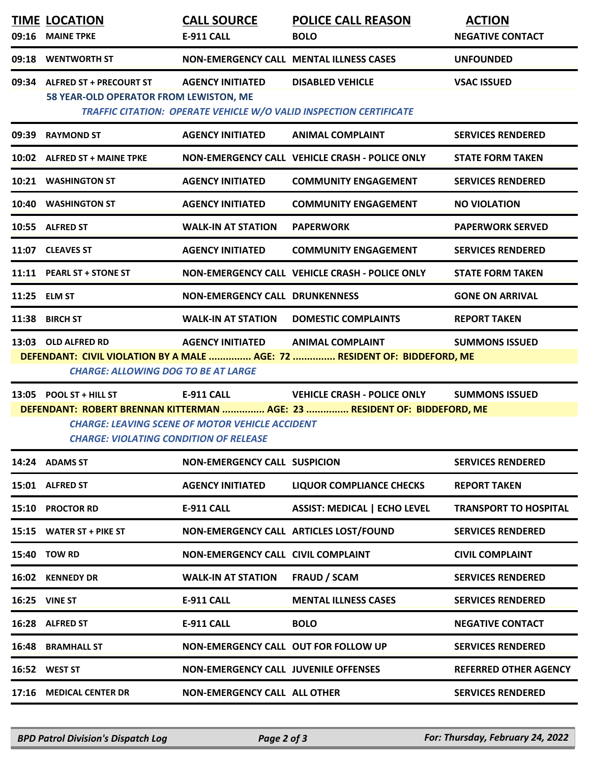| 09:16                                                                                                                                                                                                                         | <b>TIME LOCATION</b><br><b>MAINE TPKE</b>                                | <b>CALL SOURCE</b><br><b>E-911 CALL</b>                                     | <b>POLICE CALL REASON</b><br><b>BOLO</b>                                                                       | <b>ACTION</b><br><b>NEGATIVE CONTACT</b> |  |  |  |
|-------------------------------------------------------------------------------------------------------------------------------------------------------------------------------------------------------------------------------|--------------------------------------------------------------------------|-----------------------------------------------------------------------------|----------------------------------------------------------------------------------------------------------------|------------------------------------------|--|--|--|
| 09:18                                                                                                                                                                                                                         | <b>WENTWORTH ST</b>                                                      |                                                                             | NON-EMERGENCY CALL MENTAL ILLNESS CASES                                                                        | <b>UNFOUNDED</b>                         |  |  |  |
| 09:34                                                                                                                                                                                                                         | <b>ALFRED ST + PRECOURT ST</b><br>58 YEAR-OLD OPERATOR FROM LEWISTON, ME | <b>AGENCY INITIATED</b>                                                     | <b>DISABLED VEHICLE</b><br>TRAFFIC CITATION: OPERATE VEHICLE W/O VALID INSPECTION CERTIFICATE                  | <b>VSAC ISSUED</b>                       |  |  |  |
| 09:39                                                                                                                                                                                                                         | <b>RAYMOND ST</b>                                                        | <b>AGENCY INITIATED</b>                                                     | <b>ANIMAL COMPLAINT</b>                                                                                        | <b>SERVICES RENDERED</b>                 |  |  |  |
|                                                                                                                                                                                                                               | 10:02 ALFRED ST + MAINE TPKE                                             |                                                                             | NON-EMERGENCY CALL VEHICLE CRASH - POLICE ONLY                                                                 | <b>STATE FORM TAKEN</b>                  |  |  |  |
|                                                                                                                                                                                                                               | 10:21 WASHINGTON ST                                                      | <b>AGENCY INITIATED</b>                                                     | <b>COMMUNITY ENGAGEMENT</b>                                                                                    | <b>SERVICES RENDERED</b>                 |  |  |  |
|                                                                                                                                                                                                                               | 10:40 WASHINGTON ST                                                      | <b>AGENCY INITIATED</b>                                                     | <b>COMMUNITY ENGAGEMENT</b>                                                                                    | <b>NO VIOLATION</b>                      |  |  |  |
|                                                                                                                                                                                                                               | 10:55 ALFRED ST                                                          | <b>WALK-IN AT STATION</b>                                                   | <b>PAPERWORK</b>                                                                                               | <b>PAPERWORK SERVED</b>                  |  |  |  |
|                                                                                                                                                                                                                               | 11:07 CLEAVES ST                                                         | <b>AGENCY INITIATED</b>                                                     | <b>COMMUNITY ENGAGEMENT</b>                                                                                    | <b>SERVICES RENDERED</b>                 |  |  |  |
|                                                                                                                                                                                                                               | 11:11 PEARL ST + STONE ST                                                |                                                                             | NON-EMERGENCY CALL VEHICLE CRASH - POLICE ONLY                                                                 | <b>STATE FORM TAKEN</b>                  |  |  |  |
|                                                                                                                                                                                                                               | 11:25 ELM ST                                                             | <b>NON-EMERGENCY CALL DRUNKENNESS</b>                                       |                                                                                                                | <b>GONE ON ARRIVAL</b>                   |  |  |  |
| 11:38                                                                                                                                                                                                                         | <b>BIRCH ST</b>                                                          | <b>WALK-IN AT STATION</b>                                                   | <b>DOMESTIC COMPLAINTS</b>                                                                                     | <b>REPORT TAKEN</b>                      |  |  |  |
| 13:03 OLD ALFRED RD<br><b>AGENCY INITIATED</b><br><b>ANIMAL COMPLAINT</b><br><b>SUMMONS ISSUED</b><br>DEFENDANT: CIVIL VIOLATION BY A MALE  AGE: 72  RESIDENT OF: BIDDEFORD, ME<br><b>CHARGE: ALLOWING DOG TO BE AT LARGE</b> |                                                                          |                                                                             |                                                                                                                |                                          |  |  |  |
|                                                                                                                                                                                                                               | 13:05 POOL ST + HILL ST<br><b>CHARGE: VIOLATING CONDITION OF RELEASE</b> | <b>E-911 CALL</b><br><b>CHARGE: LEAVING SCENE OF MOTOR VEHICLE ACCIDENT</b> | <b>VEHICLE CRASH - POLICE ONLY</b><br>DEFENDANT: ROBERT BRENNAN KITTERMAN  AGE: 23  RESIDENT OF: BIDDEFORD, ME | <b>SUMMONS ISSUED</b>                    |  |  |  |
|                                                                                                                                                                                                                               | 14:24 ADAMS ST                                                           | <b>NON-EMERGENCY CALL SUSPICION</b>                                         |                                                                                                                | <b>SERVICES RENDERED</b>                 |  |  |  |
|                                                                                                                                                                                                                               | 15:01 ALFRED ST                                                          | <b>AGENCY INITIATED</b>                                                     | <b>LIQUOR COMPLIANCE CHECKS</b>                                                                                | <b>REPORT TAKEN</b>                      |  |  |  |
| 15:10                                                                                                                                                                                                                         | <b>PROCTOR RD</b>                                                        | <b>E-911 CALL</b>                                                           | <b>ASSIST: MEDICAL   ECHO LEVEL</b>                                                                            | <b>TRANSPORT TO HOSPITAL</b>             |  |  |  |
| 15:15                                                                                                                                                                                                                         | <b>WATER ST + PIKE ST</b>                                                |                                                                             | NON-EMERGENCY CALL ARTICLES LOST/FOUND                                                                         | <b>SERVICES RENDERED</b>                 |  |  |  |
|                                                                                                                                                                                                                               | 15:40 TOW RD                                                             | NON-EMERGENCY CALL CIVIL COMPLAINT                                          |                                                                                                                | <b>CIVIL COMPLAINT</b>                   |  |  |  |
|                                                                                                                                                                                                                               | 16:02 KENNEDY DR                                                         | <b>WALK-IN AT STATION</b>                                                   | <b>FRAUD / SCAM</b>                                                                                            | <b>SERVICES RENDERED</b>                 |  |  |  |
|                                                                                                                                                                                                                               | <b>16:25 VINE ST</b>                                                     | <b>E-911 CALL</b>                                                           | <b>MENTAL ILLNESS CASES</b>                                                                                    | <b>SERVICES RENDERED</b>                 |  |  |  |
|                                                                                                                                                                                                                               | 16:28 ALFRED ST                                                          | <b>E-911 CALL</b>                                                           | <b>BOLO</b>                                                                                                    | <b>NEGATIVE CONTACT</b>                  |  |  |  |
| 16:48                                                                                                                                                                                                                         | <b>BRAMHALL ST</b>                                                       | NON-EMERGENCY CALL OUT FOR FOLLOW UP                                        |                                                                                                                | <b>SERVICES RENDERED</b>                 |  |  |  |
|                                                                                                                                                                                                                               | 16:52 WEST ST                                                            | <b>NON-EMERGENCY CALL JUVENILE OFFENSES</b>                                 |                                                                                                                | <b>REFERRED OTHER AGENCY</b>             |  |  |  |
|                                                                                                                                                                                                                               | 17:16 MEDICAL CENTER DR                                                  | <b>NON-EMERGENCY CALL ALL OTHER</b>                                         |                                                                                                                | <b>SERVICES RENDERED</b>                 |  |  |  |